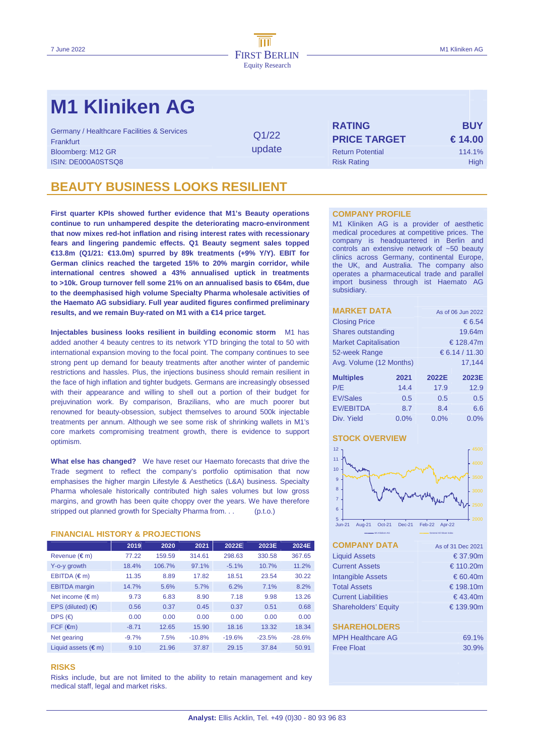# **M1 Kliniken AG**

Germany / Healthcare Facilities & Services<br>Frankfurt **Q1/22** Bloomberg: M12 GR Return Potential 114.1% **ISIN: DE000A0STSQ8** Risk Rating High Risk Rating High Risk Rating High Risk Rating High Risk Rating High Risk Rating High Risk Rating Risk Rating Risk Rating Risk Rating Risk Rating Risk Rating Risk Rating Risk Rating Ris

update

**RATING BUY PRICE TARGET € 14.00** 

### **BEAUTY BUSINESS LOOKS RESILIENT**

**First quarter KPIs showed further evidence that M1's Beauty operations continue to run unhampered despite the deteriorating macro-environment that now mixes red-hot inflation and rising interest rates with recessionary fears and lingering pandemic effects. Q1 Beauty segment sales topped €13.8m (Q1/21: €13.0m) spurred by 89k treatments (+9% Y/Y). EBIT for German clinics reached the targeted 15% to 20% margin corridor, while international centres showed a 43% annualised uptick in treatments to >10k. Group turnover fell some 21% on an annualised basis to €64m, due to the deemphasised high volume Specialty Pharma wholesale activities of the Haemato AG subsidiary. Full year audited figures confirmed preliminary results, and we remain Buy-rated on M1 with a €14 price target.** 

**Injectables business looks resilient in building economic storm** M1 has added another 4 beauty centres to its network YTD bringing the total to 50 with international expansion moving to the focal point. The company continues to see strong pent up demand for beauty treatments after another winter of pandemic restrictions and hassles. Plus, the injections business should remain resilient in the face of high inflation and tighter budgets. Germans are increasingly obsessed with their appearance and willing to shell out a portion of their budget for prejuvination work. By comparison, Brazilians, who are much poorer but renowned for beauty-obsession, subject themselves to around 500k injectable treatments per annum. Although we see some risk of shrinking wallets in M1's core markets compromising treatment growth, there is evidence to support optimism.

**What else has changed?** We have reset our Haemato forecasts that drive the Trade segment to reflect the company's portfolio optimisation that now emphasises the higher margin Lifestyle & Aesthetics (L&A) business. Specialty Pharma wholesale historically contributed high sales volumes but low gross margins, and growth has been quite choppy over the years. We have therefore stripped out planned growth for Specialty Pharma from. . . (p.t.o.)

#### **FINANCIAL HISTORY & PROJECTIONS**

|                              | 2019    | 2020   | 2021     | 2022E    | 2023E    | 2024E    |
|------------------------------|---------|--------|----------|----------|----------|----------|
| Revenue $(\epsilon m)$       | 77.22   | 159.59 | 314.61   | 298.63   | 330.58   | 367.65   |
| Y-o-y growth                 | 18.4%   | 106.7% | 97.1%    | $-5.1%$  | 10.7%    | 11.2%    |
| EBITDA $(\epsilon m)$        | 11.35   | 8.89   | 17.82    | 18.51    | 23.54    | 30.22    |
| <b>EBITDA</b> margin         | 14.7%   | 5.6%   | 5.7%     | 6.2%     | 7.1%     | 8.2%     |
| Net income $(\epsilon m)$    | 9.73    | 6.83   | 8.90     | 7.18     | 9.98     | 13.26    |
| EPS (diluted) $(6)$          | 0.56    | 0.37   | 0.45     | 0.37     | 0.51     | 0.68     |
| DPS $(\epsilon)$             | 0.00    | 0.00   | 0.00     | 0.00     | 0.00     | 0.00     |
| $FCF$ ( $\epsilon$ m)        | $-8.71$ | 12.65  | 15.90    | 18.16    | 13.32    | 18.34    |
| Net gearing                  | $-9.7%$ | 7.5%   | $-10.8%$ | $-19.6%$ | $-23.5%$ | $-28.6%$ |
| Liquid assets $(\epsilon m)$ | 9.10    | 21.96  | 37.87    | 29.15    | 37.84    | 50.91    |

#### **RISKS**

Risks include, but are not limited to the ability to retain management and key medical staff, legal and market risks.

#### **COMPANY PROFILE**

M1 Kliniken AG is a provider of aesthetic medical procedures at competitive prices. The company is headquartered in Berlin and controls an extensive network of ~50 beauty clinics across Germany, continental Europe, the UK, and Australia. The company also operates a pharmaceutical trade and parallel import business through ist Haemato AG subsidiary.

| <b>MARKET DATA</b>           |      |                | As of 06 Jun 2022 |  |  |  |
|------------------------------|------|----------------|-------------------|--|--|--|
| <b>Closing Price</b>         |      | € 6.54         |                   |  |  |  |
| Shares outstanding           |      | 19.64m         |                   |  |  |  |
| <b>Market Capitalisation</b> |      |                | € 128.47m         |  |  |  |
| 52-week Range                |      | € 6.14 / 11.30 |                   |  |  |  |
| Avg. Volume (12 Months)      |      |                | 17.144            |  |  |  |
| <b>Multiples</b>             | 2021 | 2022E          | 2023E             |  |  |  |
| P/E                          | 14.4 | 17.9           | 12.9              |  |  |  |
| <b>EV/Sales</b>              | 0.5  | 0.5            | 0.5               |  |  |  |
| <b>EV/EBITDA</b>             | 8.7  | 8.4            | 6.6               |  |  |  |
| Div. Yield                   | 0.0% | 0.0%           | 0.0%              |  |  |  |

### **STOCK OVERVIEW**



| <b>COMPANY DATA</b>         | As of 31 Dec 2021 |
|-----------------------------|-------------------|
| <b>Liquid Assets</b>        | $\epsilon$ 37.90m |
| <b>Current Assets</b>       | € 110.20m         |
| <b>Intangible Assets</b>    | € 60.40m          |
| <b>Total Assets</b>         | € 198.10m         |
| <b>Current Liabilities</b>  | $\in$ 43.40m      |
| <b>Shareholders' Equity</b> | € 139.90m         |
|                             |                   |
| <b>SHAREHOLDERS</b>         |                   |
| <b>MPH Healthcare AG</b>    | 69.1%             |
| <b>Free Float</b>           | 30.9%             |
|                             |                   |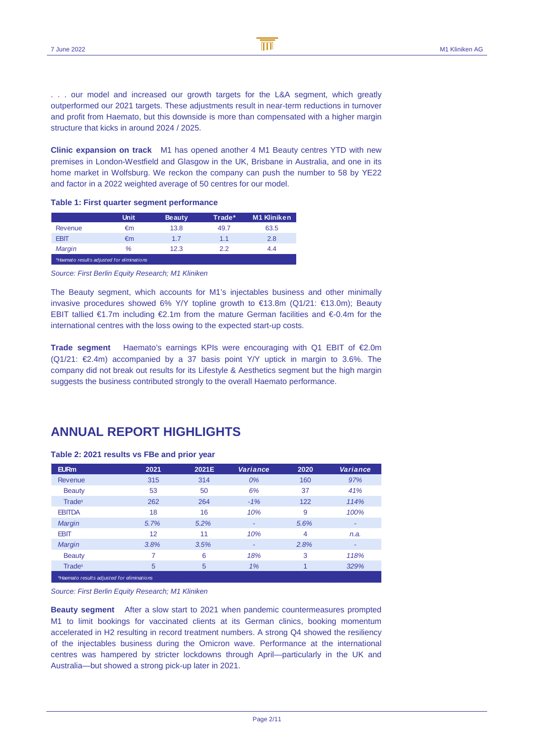. . . our model and increased our growth targets for the L&A segment, which greatly outperformed our 2021 targets. These adjustments result in near-term reductions in turnover and profit from Haemato, but this downside is more than compensated with a higher margin structure that kicks in around 2024 / 2025.

**Clinic expansion on track** M1 has opened another 4 M1 Beauty centres YTD with new premises in London-Westfield and Glasgow in the UK, Brisbane in Australia, and one in its home market in Wolfsburg. We reckon the company can push the number to 58 by YE22 and factor in a 2022 weighted average of 50 centres for our model.

#### **Table 1: First quarter segment performance**

|                                            | <b>Unit</b> | <b>Beauty</b> | Trade* | <b>M1 Kliniken</b> |
|--------------------------------------------|-------------|---------------|--------|--------------------|
| <b>Revenue</b>                             | €m          | 13.8          | 49.7   | 63.5               |
| <b>EBIT</b>                                | €m          | 1.7           | 1.1    | 2.8                |
| Margin                                     | %           | 12.3          | 22     | 4.4                |
| *Haemato results adjusted for eliminations |             |               |        |                    |

Source: First Berlin Equity Research; M1 Kliniken

The Beauty segment, which accounts for M1's injectables business and other minimally invasive procedures showed 6% Y/Y topline growth to €13.8m (Q1/21: €13.0m); Beauty EBIT tallied €1.7m including €2.1m from the mature German facilities and €-0.4m for the international centres with the loss owing to the expected start-up costs.

**Trade segment** Haemato's earnings KPIs were encouraging with Q1 EBIT of €2.0m  $(Q1/21: \epsilon 2.4m)$  accompanied by a 37 basis point Y/Y uptick in margin to 3.6%. The company did not break out results for its Lifestyle & Aesthetics segment but the high margin suggests the business contributed strongly to the overall Haemato performance.

### **ANNUAL REPORT HIGHLIGHTS**

#### **Table 2: 2021 results vs FBe and prior year**

| <b>EURm</b>                                | 2021 | 2021E | <b>Variance</b> | 2020           | <b>Variance</b> |
|--------------------------------------------|------|-------|-----------------|----------------|-----------------|
| Revenue                                    | 315  | 314   | 0%              | 160            | 97%             |
| <b>Beauty</b>                              | 53   | 50    | 6%              | 37             | 41%             |
| Trade <sup>1</sup>                         | 262  | 264   | $-1%$           | 122            | 114%            |
| <b>EBITDA</b>                              | 18   | 16    | 10%             | 9              | 100%            |
| <b>Margin</b>                              | 5.7% | 5.2%  | ۰               | 5.6%           | ٠               |
| <b>EBIT</b>                                | 12   | 11    | 10%             | 4              | n.a.            |
| <b>Margin</b>                              | 3.8% | 3.5%  | ۰               | 2.8%           | ٠               |
| <b>Beauty</b>                              | 7    | 6     | 18%             | 3              | 118%            |
| Trade <sup>1</sup>                         | 5    | 5     | 1%              | $\overline{1}$ | 329%            |
| *Haemato results adjusted for eliminations |      |       |                 |                |                 |

Source: First Berlin Equity Research; M1 Kliniken

**Beauty segment** After a slow start to 2021 when pandemic countermeasures prompted M1 to limit bookings for vaccinated clients at its German clinics, booking momentum accelerated in H2 resulting in record treatment numbers. A strong Q4 showed the resiliency of the injectables business during the Omicron wave. Performance at the international centres was hampered by stricter lockdowns through April—particularly in the UK and Australia—but showed a strong pick-up later in 2021.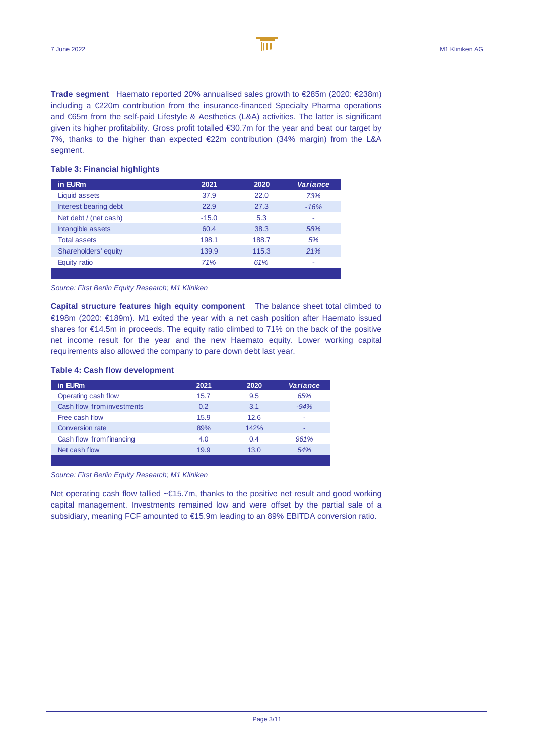**Trade segment** Haemato reported 20% annualised sales growth to €285m (2020: €238m) including a €220m contribution from the insurance-financed Specialty Pharma operations and €65m from the self-paid Lifestyle & Aesthetics (L&A) activities. The latter is significant given its higher profitability. Gross profit totalled €30.7m for the year and beat our target by 7%, thanks to the higher than expected €22m contribution (34% margin) from the L&A segment.

| in EURm               | 2021    | 2020  | Variance |
|-----------------------|---------|-------|----------|
| Liquid assets         | 37.9    | 22.0  | 73%      |
| Interest bearing debt | 22.9    | 27.3  | $-16%$   |
| Net debt / (net cash) | $-15.0$ | 5.3   | ٠        |
| Intangible assets     | 60.4    | 38.3  | 58%      |
| <b>Total assets</b>   | 198.1   | 188.7 | 5%       |
| Shareholders' equity  | 139.9   | 115.3 | 21%      |
| Equity ratio          | 71%     | 61%   |          |
|                       |         |       |          |

#### **Table 3: Financial highlights**

#### Source: First Berlin Equity Research; M1 Kliniken

**Capital structure features high equity component** The balance sheet total climbed to €198m (2020: €189m). M1 exited the year with a net cash position after Haemato issued shares for €14.5m in proceeds. The equity ratio climbed to 71% on the back of the positive net income result for the year and the new Haemato equity. Lower working capital requirements also allowed the company to pare down debt last year.

#### **Table 4: Cash flow development**

| in EURm                    | 2021 | 2020 | Variance |
|----------------------------|------|------|----------|
| Operating cash flow        | 15.7 | 9.5  | 65%      |
| Cash flow from investments | 0.2  | 3.1  | $-94%$   |
| Free cash flow             | 15.9 | 12.6 | ۰        |
| <b>Conversion rate</b>     | 89%  | 142% | -        |
| Cash flow from financing   | 4.0  | 0.4  | 961%     |
| Net cash flow              | 19.9 | 13.0 | 54%      |
|                            |      |      |          |

Source: First Berlin Equity Research; M1 Kliniken

Net operating cash flow tallied ~€15.7m, thanks to the positive net result and good working capital management. Investments remained low and were offset by the partial sale of a subsidiary, meaning FCF amounted to €15.9m leading to an 89% EBITDA conversion ratio.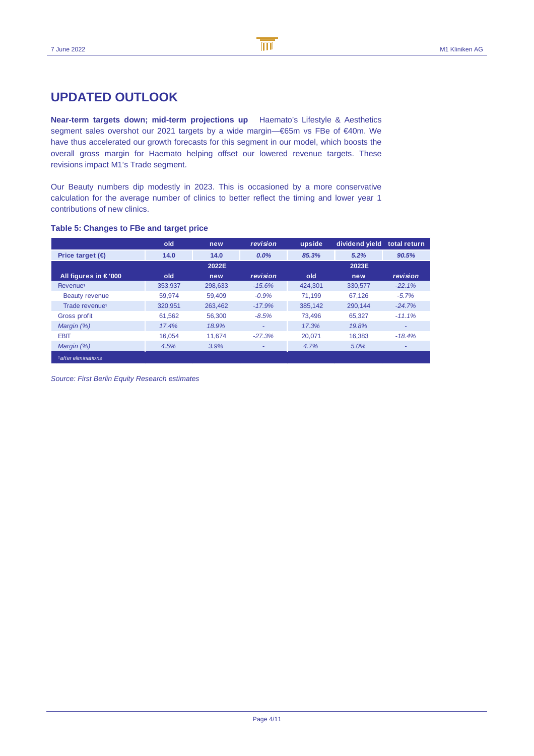### **UPDATED OUTLOOK**

**Near-term targets down; mid-term projections up** Haemato's Lifestyle & Aesthetics segment sales overshot our 2021 targets by a wide margin—€65m vs FBe of €40m. We have thus accelerated our growth forecasts for this segment in our model, which boosts the overall gross margin for Haemato helping offset our lowered revenue targets. These revisions impact M1's Trade segment.

Our Beauty numbers dip modestly in 2023. This is occasioned by a more conservative calculation for the average number of clinics to better reflect the timing and lower year 1 contributions of new clinics.

### **Table 5: Changes to FBe and target price**

|                                | old     | new     | revision | upside  | dividend yield | total return |
|--------------------------------|---------|---------|----------|---------|----------------|--------------|
| Price target $(\epsilon)$      | 14.0    | 14.0    | $0.0\%$  | 85.3%   | 5.2%           | 90.5%        |
|                                |         | 2022E   |          |         | 2023E          |              |
| All figures in $\epsilon$ '000 | old     | new     | revision | old     | new            | revision     |
| Revenue <sup>1</sup>           | 353.937 | 298,633 | $-15.6%$ | 424.301 | 330.577        | $-22.1%$     |
| Beauty revenue                 | 59.974  | 59.409  | $-0.9%$  | 71.199  | 67.126         | $-5.7%$      |
| Trade revenue <sup>1</sup>     | 320.951 | 263.462 | $-17.9%$ | 385.142 | 290.144        | $-24.7%$     |
| Gross profit                   | 61.562  | 56.300  | $-8.5%$  | 73.496  | 65.327         | $-11.1%$     |
| Margin (%)                     | 17.4%   | 18.9%   | ۰        | 17.3%   | 19.8%          | ۰            |
| <b>EBIT</b>                    | 16.054  | 11.674  | $-27.3%$ | 20.071  | 16.383         | $-18.4%$     |
| Margin (%)                     | 4.5%    | 3.9%    | ٠        | 4.7%    | 5.0%           | ٠            |
| 1 after eliminations           |         |         |          |         |                |              |

Source: First Berlin Equity Research estimates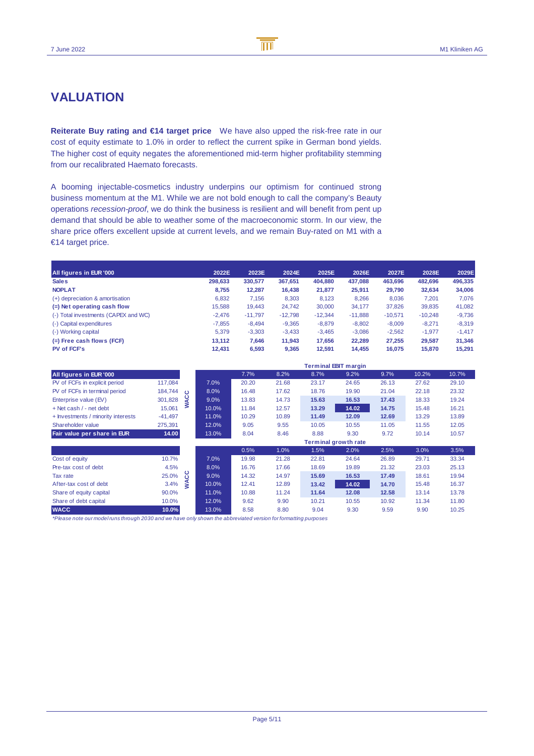### **VALUATION**

**Reiterate Buy rating and €14 target price** We have also upped the risk-free rate in our cost of equity estimate to 1.0% in order to reflect the current spike in German bond yields. The higher cost of equity negates the aforementioned mid-term higher profitability stemming from our recalibrated Haemato forecasts.

A booming injectable-cosmetics industry underpins our optimism for continued strong business momentum at the M1. While we are not bold enough to call the company's Beauty operations recession-proof, we do think the business is resilient and will benefit from pent up demand that should be able to weather some of the macroeconomic storm. In our view, the share price offers excellent upside at current levels, and we remain Buy-rated on M1 with a €14 target price.

| All figures in EUR '000              | 2022E    | 2023E     | 2024E     | 2025E     | 2026E     | 2027E     | 2028E     | 2029E    |
|--------------------------------------|----------|-----------|-----------|-----------|-----------|-----------|-----------|----------|
| <b>Sales</b>                         | 298,633  | 330,577   | 367,651   | 404,880   | 437,088   | 463.696   | 482.696   | 496,335  |
| <b>NOPLAT</b>                        | 8.755    | 12.287    | 16.438    | 21,877    | 25.911    | 29,790    | 32,634    | 34,006   |
| (+) depreciation & amortisation      | 6,832    | 7,156     | 8,303     | 8,123     | 8,266     | 8,036     | 7,201     | 7,076    |
| $(=)$ Net operating cash flow        | 15.588   | 19.443    | 24,742    | 30,000    | 34,177    | 37,826    | 39,835    | 41,082   |
| (-) Total investments (CAPEX and WC) | $-2.476$ | $-11.797$ | $-12,798$ | $-12,344$ | $-11,888$ | $-10,571$ | $-10,248$ | $-9,736$ |
| (-) Capital expenditures             | $-7.855$ | $-8.494$  | $-9,365$  | $-8,879$  | $-8,802$  | $-8.009$  | $-8.271$  | $-8,319$ |
| (-) Working capital                  | 5.379    | $-3,303$  | $-3.433$  | $-3.465$  | $-3.086$  | $-2.562$  | $-1.977$  | $-1.417$ |
| $(=)$ Free cash flows (FCF)          | 13.112   | 7,646     | 11,943    | 17,656    | 22,289    | 27.255    | 29,587    | 31,346   |
| <b>PV of FCF's</b>                   | 12.431   | 6.593     | 9.365     | 12.591    | 14.455    | 16.075    | 15,870    | 15.291   |

|                                    |           |         |       |       |       |       | <b>Terminal EBIT margin</b> |       |       |       |
|------------------------------------|-----------|---------|-------|-------|-------|-------|-----------------------------|-------|-------|-------|
| All figures in EUR '000            |           |         |       | 7.7%  | 8.2%  | 8.7%  | 9.2%                        | 9.7%  | 10.2% | 10.7% |
| PV of FCFs in explicit period      | 117,084   |         | 7.0%  | 20.20 | 21.68 | 23.17 | 24.65                       | 26.13 | 27.62 | 29.10 |
| PV of FCFs in terminal period      | 184,744   | $\circ$ | 8.0%  | 16.48 | 17.62 | 18.76 | 19.90                       | 21.04 | 22.18 | 23.32 |
| Enterprise value (EV)              | 301,828   | ¥       | 9.0%  | 13.83 | 14.73 | 15.63 | 16.53                       | 17.43 | 18.33 | 19.24 |
| + Net cash / - net debt            | 15,061    | ⋧       | 10.0% | 11.84 | 12.57 | 13.29 | 14.02                       | 14.75 | 15.48 | 16.21 |
| + Investments / minority interests | $-41,497$ |         | 11.0% | 10.29 | 10.89 | 11.49 | 12.09                       | 12.69 | 13.29 | 13.89 |
| Shareholder value                  | 275,391   |         | 12.0% | 9.05  | 9.55  | 10.05 | 10.55                       | 11.05 | 11.55 | 12.05 |
| Fair value per share in EUR        | 14.00     |         | 13.0% | 8.04  | 8.46  | 8.88  | 9.30                        | 9.72  | 10.14 | 10.57 |
|                                    |           |         |       |       |       |       | <b>Terminal growth rate</b> |       |       |       |
|                                    |           |         |       | 0.5%  | 1.0%  | 1.5%  | 2.0%                        | 2.5%  | 3.0%  | 3.5%  |
| Cost of equity                     | 10.7%     |         | 7.0%  | 19.98 | 21.28 | 22.81 | 24.64                       | 26.89 | 29.71 | 33.34 |
| Pre-tax cost of debt               | 4.5%      |         | 8.0%  | 16.76 | 17.66 | 18.69 | 19.89                       | 21.32 | 23.03 | 25.13 |
| Tax rate                           | 25.0%     | ပ္ပ     | 9.0%  | 14.32 | 14.97 | 15.69 | 16.53                       | 17.49 | 18.61 | 19.94 |
| After-tax cost of debt             | 3.4%      | 2       | 10.0% | 12.41 | 12.89 | 13.42 | 14.02                       | 14.70 | 15.48 | 16.37 |
| Share of equity capital            | 90.0%     |         | 11.0% | 10.88 | 11.24 | 11.64 | 12.08                       | 12.58 | 13.14 | 13.78 |
| Share of debt capital              | 10.0%     |         | 12.0% | 9.62  | 9.90  | 10.21 | 10.55                       | 10.92 | 11.34 | 11.80 |
| <b>WACC</b>                        | 10.0%     |         | 13.0% | 8.58  | 8.80  | 9.04  | 9.30                        | 9.59  | 9.90  | 10.25 |

\*Please note our model runs through 2030 and we have only shown the abbreviated version for formatting purposes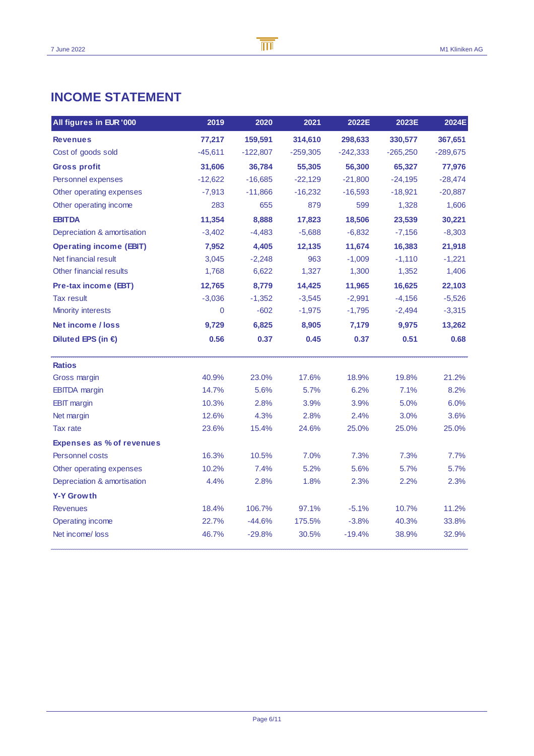### **INCOME STATEMENT**

| All figures in EUR '000          | 2019      | 2020       | 2021       | 2022E      | 2023E      | 2024E      |
|----------------------------------|-----------|------------|------------|------------|------------|------------|
| <b>Revenues</b>                  | 77,217    | 159,591    | 314,610    | 298,633    | 330,577    | 367,651    |
| Cost of goods sold               | $-45,611$ | $-122,807$ | $-259,305$ | $-242,333$ | $-265,250$ | $-289,675$ |
| <b>Gross profit</b>              | 31,606    | 36,784     | 55,305     | 56,300     | 65,327     | 77,976     |
| Personnel expenses               | $-12,622$ | $-16,685$  | $-22,129$  | $-21,800$  | $-24,195$  | $-28,474$  |
| Other operating expenses         | $-7,913$  | $-11,866$  | $-16,232$  | $-16,593$  | $-18,921$  | $-20,887$  |
| Other operating income           | 283       | 655        | 879        | 599        | 1,328      | 1,606      |
| <b>EBITDA</b>                    | 11,354    | 8,888      | 17,823     | 18,506     | 23,539     | 30,221     |
| Depreciation & amortisation      | $-3,402$  | $-4,483$   | $-5,688$   | $-6,832$   | $-7,156$   | $-8,303$   |
| <b>Operating income (EBIT)</b>   | 7.952     | 4.405      | 12.135     | 11.674     | 16,383     | 21,918     |
| Net financial result             | 3,045     | $-2,248$   | 963        | $-1,009$   | $-1,110$   | $-1,221$   |
| Other financial results          | 1,768     | 6,622      | 1,327      | 1,300      | 1,352      | 1,406      |
| Pre-tax income (EBT)             | 12,765    | 8,779      | 14,425     | 11,965     | 16,625     | 22,103     |
| <b>Tax result</b>                | $-3,036$  | $-1,352$   | $-3,545$   | $-2,991$   | $-4,156$   | $-5,526$   |
| <b>Minority interests</b>        | 0         | $-602$     | $-1,975$   | $-1,795$   | $-2,494$   | $-3,315$   |
| Net income / loss                | 9,729     | 6,825      | 8,905      | 7,179      | 9,975      | 13,262     |
| Diluted EPS (in $\epsilon$ )     | 0.56      | 0.37       | 0.45       | 0.37       | 0.51       | 0.68       |
| <b>Ratios</b>                    |           |            |            |            |            |            |
| Gross margin                     | 40.9%     | 23.0%      | 17.6%      | 18.9%      | 19.8%      | 21.2%      |
| <b>EBITDA</b> margin             | 14.7%     | 5.6%       | 5.7%       | 6.2%       | 7.1%       | 8.2%       |
| <b>EBIT</b> margin               | 10.3%     | 2.8%       | 3.9%       | 3.9%       | 5.0%       | 6.0%       |
| Net margin                       | 12.6%     | 4.3%       | 2.8%       | 2.4%       | 3.0%       | 3.6%       |
| <b>Tax rate</b>                  | 23.6%     | 15.4%      | 24.6%      | 25.0%      | 25.0%      | 25.0%      |
| <b>Expenses as % of revenues</b> |           |            |            |            |            |            |
| <b>Personnel costs</b>           | 16.3%     | 10.5%      | 7.0%       | 7.3%       | 7.3%       | 7.7%       |
| Other operating expenses         | 10.2%     | 7.4%       | 5.2%       | 5.6%       | 5.7%       | 5.7%       |
| Depreciation & amortisation      | 4.4%      | 2.8%       | 1.8%       | 2.3%       | 2.2%       | 2.3%       |
| <b>Y-Y Growth</b>                |           |            |            |            |            |            |
| <b>Revenues</b>                  | 18.4%     | 106.7%     | 97.1%      | $-5.1%$    | 10.7%      | 11.2%      |
| Operating income                 | 22.7%     | $-44.6%$   | 175.5%     | $-3.8%$    | 40.3%      | 33.8%      |
| Net income/loss                  | 46.7%     | $-29.8%$   | 30.5%      | $-19.4%$   | 38.9%      | 32.9%      |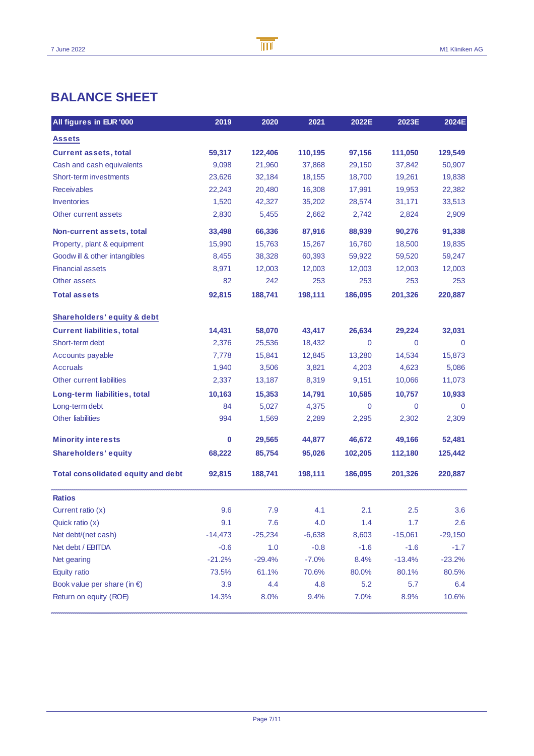## **BALANCE SHEET**

| All figures in EUR '000                   | 2019      | 2020      | 2021     | 2022E   | 2023E        | 2024E       |
|-------------------------------------------|-----------|-----------|----------|---------|--------------|-------------|
| <b>Assets</b>                             |           |           |          |         |              |             |
| <b>Current assets, total</b>              | 59,317    | 122,406   | 110,195  | 97,156  | 111,050      | 129,549     |
| Cash and cash equivalents                 | 9,098     | 21,960    | 37,868   | 29,150  | 37,842       | 50,907      |
| Short-term investments                    | 23,626    | 32,184    | 18,155   | 18,700  | 19,261       | 19,838      |
| <b>Receivables</b>                        | 22,243    | 20,480    | 16,308   | 17,991  | 19,953       | 22,382      |
| <b>Inventories</b>                        | 1,520     | 42,327    | 35,202   | 28,574  | 31,171       | 33,513      |
| Other current assets                      | 2,830     | 5,455     | 2,662    | 2,742   | 2,824        | 2,909       |
| Non-current assets, total                 | 33,498    | 66,336    | 87,916   | 88,939  | 90,276       | 91,338      |
| Property, plant & equipment               | 15,990    | 15,763    | 15,267   | 16,760  | 18,500       | 19,835      |
| Goodwill & other intangibles              | 8,455     | 38,328    | 60,393   | 59,922  | 59,520       | 59,247      |
| <b>Financial assets</b>                   | 8,971     | 12,003    | 12,003   | 12,003  | 12,003       | 12,003      |
| Other assets                              | 82        | 242       | 253      | 253     | 253          | 253         |
| <b>Total assets</b>                       | 92,815    | 188,741   | 198,111  | 186,095 | 201,326      | 220,887     |
| Shareholders' equity & debt               |           |           |          |         |              |             |
| <b>Current liabilities, total</b>         | 14,431    | 58,070    | 43,417   | 26,634  | 29,224       | 32,031      |
| Short-term debt                           | 2,376     | 25,536    | 18,432   | 0       | $\mathbf{0}$ | $\mathbf 0$ |
| Accounts payable                          | 7,778     | 15,841    | 12,845   | 13,280  | 14,534       | 15,873      |
| <b>Accruals</b>                           | 1,940     | 3,506     | 3,821    | 4,203   | 4,623        | 5,086       |
| Other current liabilities                 | 2,337     | 13,187    | 8,319    | 9,151   | 10,066       | 11,073      |
| Long-term liabilities, total              | 10,163    | 15,353    | 14,791   | 10,585  | 10,757       | 10,933      |
| Long-term debt                            | 84        | 5,027     | 4,375    | 0       | $\mathbf 0$  | $\mathbf 0$ |
| <b>Other liabilities</b>                  | 994       | 1,569     | 2,289    | 2,295   | 2,302        | 2,309       |
| <b>Minority interests</b>                 | 0         | 29,565    | 44,877   | 46,672  | 49,166       | 52,481      |
| <b>Shareholders' equity</b>               | 68,222    | 85,754    | 95,026   | 102,205 | 112,180      | 125,442     |
| <b>Total consolidated equity and debt</b> | 92,815    | 188,741   | 198,111  | 186,095 | 201,326      | 220,887     |
| <b>Ratios</b>                             |           |           |          |         |              |             |
| Current ratio (x)                         | 9.6       | 7.9       | 4.1      | 2.1     | 2.5          | 3.6         |
| Quick ratio (x)                           | 9.1       | 7.6       | 4.0      | 1.4     | 1.7          | 2.6         |
| Net debt/(net cash)                       | $-14,473$ | $-25,234$ | $-6,638$ | 8,603   | $-15,061$    | $-29,150$   |
| Net debt / EBITDA                         | $-0.6$    | 1.0       | $-0.8$   | $-1.6$  | $-1.6$       | $-1.7$      |
| Net gearing                               | $-21.2%$  | $-29.4%$  | $-7.0%$  | 8.4%    | $-13.4%$     | $-23.2%$    |
| Equity ratio                              | 73.5%     | 61.1%     | 70.6%    | 80.0%   | 80.1%        | 80.5%       |
| Book value per share (in $\epsilon$ )     | 3.9       | 4.4       | 4.8      | 5.2     | 5.7          | 6.4         |
| Return on equity (ROE)                    | 14.3%     | 8.0%      | 9.4%     | 7.0%    | 8.9%         | 10.6%       |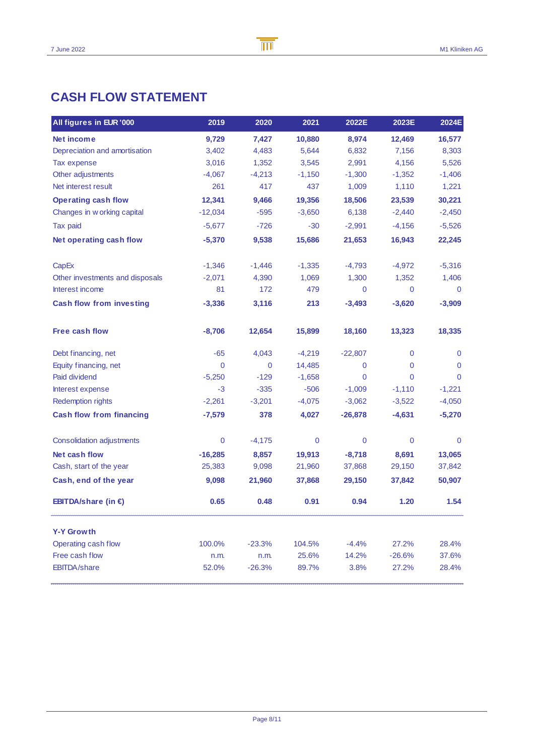### **CASH FLOW STATEMENT**

| All figures in EUR '000         | 2019        | 2020        | 2021     | 2022E        | 2023E        | 2024E       |
|---------------------------------|-------------|-------------|----------|--------------|--------------|-------------|
| Net income                      | 9,729       | 7,427       | 10,880   | 8,974        | 12,469       | 16,577      |
| Depreciation and amortisation   | 3,402       | 4,483       | 5,644    | 6,832        | 7,156        | 8,303       |
| Tax expense                     | 3,016       | 1,352       | 3,545    | 2,991        | 4,156        | 5,526       |
| Other adjustments               | $-4,067$    | $-4,213$    | $-1,150$ | $-1,300$     | $-1,352$     | $-1,406$    |
| Net interest result             | 261         | 417         | 437      | 1,009        | 1,110        | 1,221       |
| <b>Operating cash flow</b>      | 12,341      | 9,466       | 19,356   | 18,506       | 23,539       | 30,221      |
| Changes in w orking capital     | $-12,034$   | $-595$      | $-3,650$ | 6,138        | $-2,440$     | $-2,450$    |
| Tax paid                        | $-5,677$    | $-726$      | $-30$    | $-2,991$     | $-4,156$     | $-5,526$    |
| Net operating cash flow         | $-5,370$    | 9,538       | 15,686   | 21,653       | 16,943       | 22,245      |
| CapEx                           | $-1,346$    | $-1,446$    | $-1,335$ | $-4,793$     | $-4,972$     | $-5,316$    |
| Other investments and disposals | $-2,071$    | 4,390       | 1,069    | 1,300        | 1,352        | 1,406       |
| Interest income                 | 81          | 172         | 479      | $\mathbf 0$  | $\mathbf{0}$ | $\mathbf 0$ |
| <b>Cash flow from investing</b> | $-3,336$    | 3,116       | 213      | $-3,493$     | $-3,620$     | $-3,909$    |
| <b>Free cash flow</b>           | $-8,706$    | 12,654      | 15,899   | 18,160       | 13,323       | 18,335      |
| Debt financing, net             | $-65$       | 4,043       | $-4,219$ | $-22,807$    | $\mathbf 0$  | $\Omega$    |
| Equity financing, net           | $\mathbf 0$ | $\mathbf 0$ | 14,485   | $\mathbf 0$  | $\mathbf 0$  | $\Omega$    |
| Paid dividend                   | $-5,250$    | $-129$      | $-1,658$ | $\mathbf{0}$ | $\Omega$     | $\Omega$    |
| Interest expense                | $-3$        | $-335$      | $-506$   | $-1,009$     | $-1,110$     | $-1,221$    |
| Redemption rights               | $-2,261$    | $-3,201$    | $-4,075$ | $-3,062$     | $-3,522$     | $-4,050$    |
| <b>Cash flow from financing</b> | $-7,579$    | 378         | 4,027    | $-26,878$    | $-4,631$     | $-5,270$    |
| Consolidation adjustments       | $\mathbf 0$ | $-4,175$    | 0        | $\mathbf 0$  | $\mathbf 0$  | $\mathbf 0$ |
| Net cash flow                   | $-16,285$   | 8,857       | 19,913   | $-8,718$     | 8,691        | 13,065      |
| Cash, start of the year         | 25,383      | 9,098       | 21,960   | 37,868       | 29,150       | 37,842      |
| Cash, end of the year           | 9,098       | 21,960      | 37,868   | 29,150       | 37,842       | 50,907      |
| EBITDA/share (in $\epsilon$ )   | 0.65        | 0.48        | 0.91     | 0.94         | 1.20         | 1.54        |
| <b>Y-Y Growth</b>               |             |             |          |              |              |             |
| Operating cash flow             | 100.0%      | $-23.3%$    | 104.5%   | $-4.4%$      | 27.2%        | 28.4%       |
| Free cash flow                  | n.m.        | n.m.        | 25.6%    | 14.2%        | $-26.6%$     | 37.6%       |
| <b>EBITDA/share</b>             | 52.0%       | $-26.3%$    | 89.7%    | 3.8%         | 27.2%        | 28.4%       |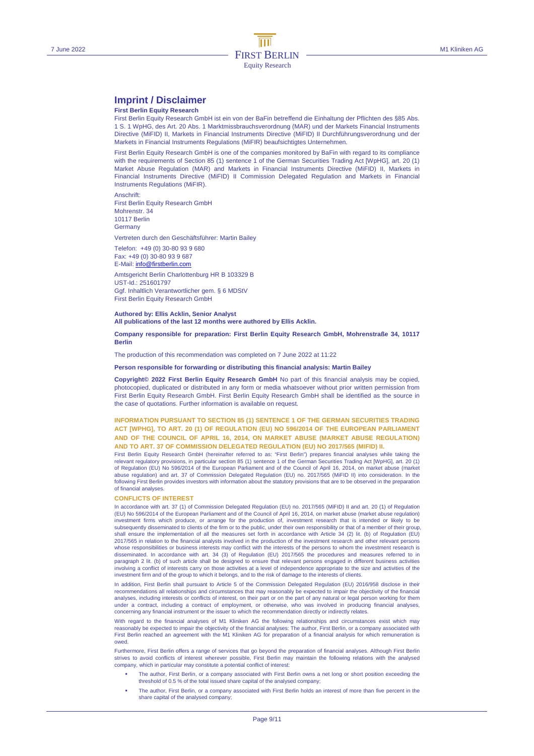#### **Imprint / Disclaimer**

#### **First Berlin Equity Research**

First Berlin Equity Research GmbH ist ein von der BaFin betreffend die Einhaltung der Pflichten des §85 Abs. 1 S. 1 WpHG, des Art. 20 Abs. 1 Marktmissbrauchsverordnung (MAR) und der Markets Financial Instruments Directive (MiFID) II, Markets in Financial Instruments Directive (MiFID) II Durchführungsverordnung und der Markets in Financial Instruments Regulations (MiFIR) beaufsichtigtes Unternehmen.

First Berlin Equity Research GmbH is one of the companies monitored by BaFin with regard to its compliance with the requirements of Section 85 (1) sentence 1 of the German Securities Trading Act [WpHG], art. 20 (1) Market Abuse Regulation (MAR) and Markets in Financial Instruments Directive (MiFID) II, Markets in Financial Instruments Directive (MiFID) II Commission Delegated Regulation and Markets in Financial Instruments Regulations (MiFIR).

Anschrift: First Berlin Equity Research GmbH Mohrenstr. 34 10117 Berlin **Germany** 

Vertreten durch den Geschäftsführer: Martin Bailey

Telefon: +49 (0) 30-80 93 9 680 Fax: +49 (0) 30-80 93 9 687

E-Mail: info@firstberlin.com

Amtsgericht Berlin Charlottenburg HR B 103329 B UST-Id.: 251601797 Ggf. Inhaltlich Verantwortlicher gem. § 6 MDStV First Berlin Equity Research GmbH

#### **Authored by: Ellis Acklin, Senior Analyst All publications of the last 12 months were authored by Ellis Acklin.**

**Company responsible for preparation: First Berlin Equity Research GmbH, Mohrenstraße 34, 10117 Berlin** 

The production of this recommendation was completed on 7 June 2022 at 11:22

#### **Person responsible for forwarding or distributing this financial analysis: Martin Bailey**

**Copyright© 2022 First Berlin Equity Research GmbH** No part of this financial analysis may be copied, photocopied, duplicated or distributed in any form or media whatsoever without prior written permission from First Berlin Equity Research GmbH. First Berlin Equity Research GmbH shall be identified as the source in the case of quotations. Further information is available on request.

#### **INFORMATION PURSUANT TO SECTION 85 (1) SENTENCE 1 OF THE GERMAN SECURITIES TRADING ACT [WPHG], TO ART. 20 (1) OF REGULATION (EU) NO 596/2014 OF THE EUROPEAN PARLIAMENT AND OF THE COUNCIL OF APRIL 16, 2014, ON MARKET ABUSE (MARKET ABUSE REGULATION) AND TO ART. 37 OF COMMISSION DELEGATED REGULATION (EU) NO 2017/565 (MIFID) II.**

First Berlin Equity Research GmbH (hereinafter referred to as: "First Berlin") prepares financial analyses while taking the relevant regulatory provisions, in particular section 85 (1) sentence 1 of the German Securities Trading Act [WpHG], art. 20 (1) of Regulation (EU) No 596/2014 of the European Parliament and of the Council of April 16, 2014, on market abuse (market abuse regulation) and art. 37 of Commission Delegated Regulation (EU) no. 2017/565 (MiFID II) into consideration. In the following First Berlin provides investors with information about the statutory provisions that are to be observed in the preparation of financial analyses.

#### **CONFLICTS OF INTEREST**

In accordance with art. 37 (1) of Commission Delegated Regulation (EU) no. 2017/565 (MiFID) II and art. 20 (1) of Regulation (EU) No 596/2014 of the European Parliament and of the Council of April 16, 2014, on market abuse (market abuse regulation) investment firms which produce, or arrange for the production of, investment research that is intended or likely to be<br>subsequently disseminated to clients of the firm or to the public, under their own responsibility or th shall ensure the implementation of all the measures set forth in accordance with Article 34 (2) lit. (b) of Regulation (EU) 2017/565 in relation to the financial analysts involved in the production of the investment research and other relevant persons whose responsibilities or business interests may conflict with the interests of the persons to whom the investment research is disseminated. In accordance with art. 34 (3) of Regulation (EU) 2017/565 the procedures and measures referred to in paragraph 2 lit. (b) of such article shall be designed to ensure that relevant persons engaged in different business activities involving a conflict of interests carry on those activities at a level of independence appropriate to the size and activities of the investment firm and of the group to which it belongs, and to the risk of damage to the interests of clients.

In addition, First Berlin shall pursuant to Article 5 of the Commission Delegated Regulation (EU) 2016/958 disclose in their recommendations all relationships and circumstances that may reasonably be expected to impair the objectivity of the financial<br>analyses, including interests or conflicts of interest, on their part or on the part of any nat under a contract, including a contract of employment, or otherwise, who was involved in producing financial analyses, concerning any financial instrument or the issuer to which the recommendation directly or indirectly relates.

With regard to the financial analyses of M1 Kliniken AG the following relationships and circumstances exist which may reasonably be expected to impair the objectivity of the financial analyses: The author, First Berlin, or a company associated with First Berlin reached an agreement with the M1 Kliniken AG for preparation of a financial analysis for which remuneration is owed.

Furthermore, First Berlin offers a range of services that go beyond the preparation of financial analyses. Although First Berlin<br>strives to avoid conflicts of interest wherever possible, First Berlin may maintain the follo company, which in particular may constitute a potential conflict of interest:

- The author, First Berlin, or a company associated with First Berlin owns a net long or short position exceeding the threshold of 0.5 % of the total issued share capital of the analysed company;
- The author, First Berlin, or a company associated with First Berlin holds an interest of more than five percent in the share capital of the analysed company;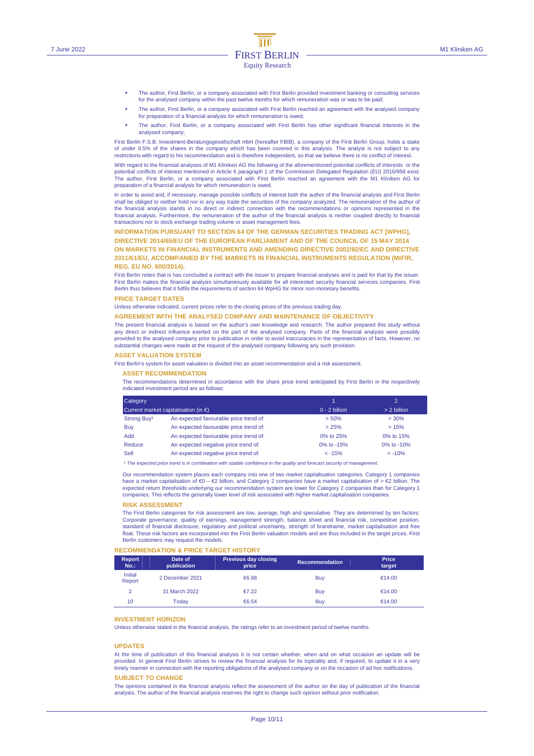- The author, First Berlin, or a company associated with First Berlin provided investment banking or consulting services for the analysed company within the past twelve months for which remuneration was or was to be paid;
- The author, First Berlin, or a company associated with First Berlin reached an agreement with the analysed company for preparation of a financial analysis for which remuneration is owed;
- The author, First Berlin, or a company associated with First Berlin has other significant financial interests in the analysed company;

First Berlin F.S.B. Investment-Beratungsgesellschaft mbH (hereafter FBIB), a company of the First Berlin Group, holds a stake of under 0.5% of the shares in the company which has been covered in this analysis. The analyst is not subject to any restrictions with regard to his recommendation and is therefore independent, so that we believe there is no conflict of interest.

With regard to the financial analyses of M1 Kliniken AG the following of the aforementioned potential conflicts of interests or the<br>potential conflicts of interest mentioned in Article 6 paragraph 1 of the Commission Dele The author, First Berlin, or a company associated with First Berlin reached an agreement with the M1 Kliniken AG for preparation of a financial analysis for which remuneration is owed.

In order to avoid and, if necessary, manage possible conflicts of interest both the author of the financial analysis and First Berlin shall be obliged to neither hold nor in any way trade the securities of the company analyzed. The remuneration of the author of the financial analysis stands in no direct or indirect connection with the recommendations or opinions represented in the financial analysis. Furthermore, the remuneration of the author of the financial analysis is neither coupled directly to financial transactions nor to stock exchange trading volume or asset management fees.

**INFORMATION PURSUANT TO SECTION 64 OF THE GERMAN SECURITIES TRADING ACT [WPHG], DIRECTIVE 2014/65/EU OF THE EUROPEAN PARLIAMENT AND OF THE COUNCIL OF 15 MAY 2014 ON MARKETS IN FINANCIAL INSTRUMENTS AND AMENDING DIRECTIVE 2002/92/EC AND DIRECTIVE 2011/61/EU, ACCOMPANIED BY THE MARKETS IN FINANCIAL INSTRUMENTS REGULATION (MIFIR, REG. EU NO. 600/2014).** 

First Berlin notes that is has concluded a contract with the issuer to prepare financial analyses and is paid for that by the issuer. First Berlin makes the financial analysis simultaneously available for all interested security financial services companies. First Berlin thus believes that it fulfils the requirements of section 64 WpHG for minor non-monetary benefits.

#### **PRICE TARGET DATES**

Unless otherwise indicated, current prices refer to the closing prices of the previous trading day.

#### **AGREEMENT WITH THE ANALYSED COMPANY AND MAINTENANCE OF OBJECTIVITY**

The present financial analysis is based on the author's own knowledge and research. The author prepared this study without any direct or indirect influence exerted on the part of the analysed company. Parts of the financial analysis were possibly provided to the analysed company prior to publication in order to avoid inaccuracies in the representation of facts. However, no<br>substantial changes were made at the request of the analysed company following any such provi

#### **ASSET VALUATION SYSTEM**

First Berlin's system for asset valuation is divided into an asset recommendation and a risk assessment.

#### **ASSET RECOMMENDATION**

The recommendations determined in accordance with the share price trend anticipated by First Berlin in the respectively indicated investment period are as follows:

| Category<br>Current market capitalisation (in $\epsilon$ ) |                                        |                 | $\overline{2}$ |  |
|------------------------------------------------------------|----------------------------------------|-----------------|----------------|--|
|                                                            |                                        | $0 - 2$ billion | $> 2$ billion  |  |
| Strong Buy <sup>1</sup>                                    | An expected favourable price trend of: | > 50%           | >30%           |  |
| Buy                                                        | An expected favourable price trend of: | > 25%           | >15%           |  |
| <b>hbA</b>                                                 | An expected favourable price trend of: | 0% to 25%       | 0% to 15%      |  |
| Reduce                                                     | An expected negative price trend of:   | 0% to -15%      | 0\% to $-10\%$ |  |
| Sell                                                       | An expected negative price trend of:   | $< -15%$        | $< -10%$       |  |

<sup>1</sup> The expected price trend is in combination with sizable confidence in the quality and forecast security of manag

Our recommendation system places each company into one of two market capitalisation categories. Category 1 companies have a market capitalisation of €0 – €2 billion, and Category 2 companies have a market capitalisation of > €2 billion. The expected return thresholds underlying our recommendation system are lower for Category 2 companies than for Category 1 companies. This reflects the generally lower level of risk associated with higher market capitalisation companies.

#### **RISK ASSESSMENT**

The First Berlin categories for risk assessment are low, average, high and speculative. They are determined by ten factors: Corporate governance, quality of earnings, management strength, balance sheet and financial risk, competitive position, standard of financial disclosure, regulatory and political uncertainty, strength of brandname, market capitalisation and free float. These risk factors are incorporated into the First Berlin valuation models and are thus included in the target prices. First Berlin customers may request the models.

#### **RECOMMENDATION & PRICE TARGET HISTORY**

| <b>Report</b><br>$No.$ : | Date of<br>publication | <b>Previous day closing</b><br>price | <b>Recommendation</b> | <b>Price</b><br>target |
|--------------------------|------------------------|--------------------------------------|-----------------------|------------------------|
| <b>Initial</b><br>Report | 2 December 2021        | €6.98                                | Buy                   | €14.00                 |
| $\overline{2}$           | 31 March 2022          | €7.22                                | Buy                   | €14.00                 |
| 10                       | Todav                  | €6.54                                | Buy                   | €14.00                 |

#### **INVESTMENT HORIZON**

Unless otherwise stated in the financial analysis, the ratings refer to an investment period of twelve months.

#### **UPDATES**

At the time of publication of this financial analysis it is not certain whether, when and on what occasion an update will be provided. In general First Berlin strives to review the financial analysis for its topicality and, if required, to update it in a very<br>timely manner in connection with the reporting obligations of the analysed company or o

#### **SUBJECT TO CHANGE**

The opinions contained in the financial analysis reflect the assessment of the author on the day of publication of the financial analysis. The author of the financial analysis reserves the right to change such opinion without prior notification.